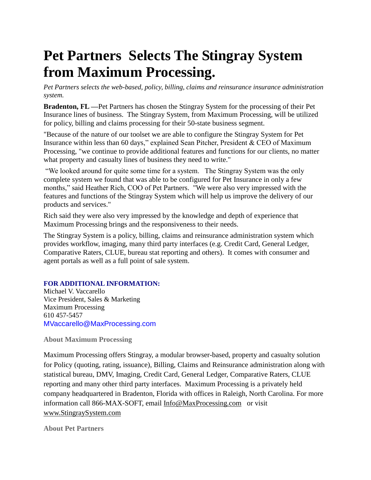## **Pet Partners Selects The Stingray System from Maximum Processing.**

*Pet Partners selects the web-based, policy, billing, claims and reinsurance insurance administration system.* 

**Bradenton, FL —**Pet Partners has chosen the Stingray System for the processing of their Pet Insurance lines of business. The Stingray System, from Maximum Processing, will be utilized for policy, billing and claims processing for their 50-state business segment.

"Because of the nature of our toolset we are able to configure the Stingray System for Pet Insurance within less than 60 days," explained Sean Pitcher, President & CEO of Maximum Processing, "we continue to provide additional features and functions for our clients, no matter what property and casualty lines of business they need to write."

"We looked around for quite some time for a system. The Stingray System was the only complete system we found that was able to be configured for Pet Insurance in only a few months," said Heather Rich, COO of Pet Partners. "We were also very impressed with the features and functions of the Stingray System which will help us improve the delivery of our products and services."

Rich said they were also very impressed by the knowledge and depth of experience that Maximum Processing brings and the responsiveness to their needs.

The Stingray System is a policy, billing, claims and reinsurance administration system which provides workflow, imaging, many third party interfaces (e.g. Credit Card, General Ledger, Comparative Raters, CLUE, bureau stat reporting and others). It comes with consumer and agent portals as well as a full point of sale system.

## **FOR ADDITIONAL INFORMATION:**

Michael V. Vaccarello Vice President, Sales & Marketing Maximum Processing 610 457-5457 MVaccarello@MaxProcessing.com

## **About Maximum Processing**

Maximum Processing offers Stingray, a modular browser-based, property and casualty solution for Policy (quoting, rating, issuance), Billing, Claims and Reinsurance administration along with statistical bureau, DMV, Imaging, Credit Card, General Ledger, Comparative Raters, CLUE reporting and many other third party interfaces. Maximum Processing is a privately held company headquartered in Bradenton, Florida with offices in Raleigh, North Carolina. For more information call 866-MAX-SOFT, email Info@MaxProcessing.com or visit www.StingraySystem.com

**About Pet Partners**